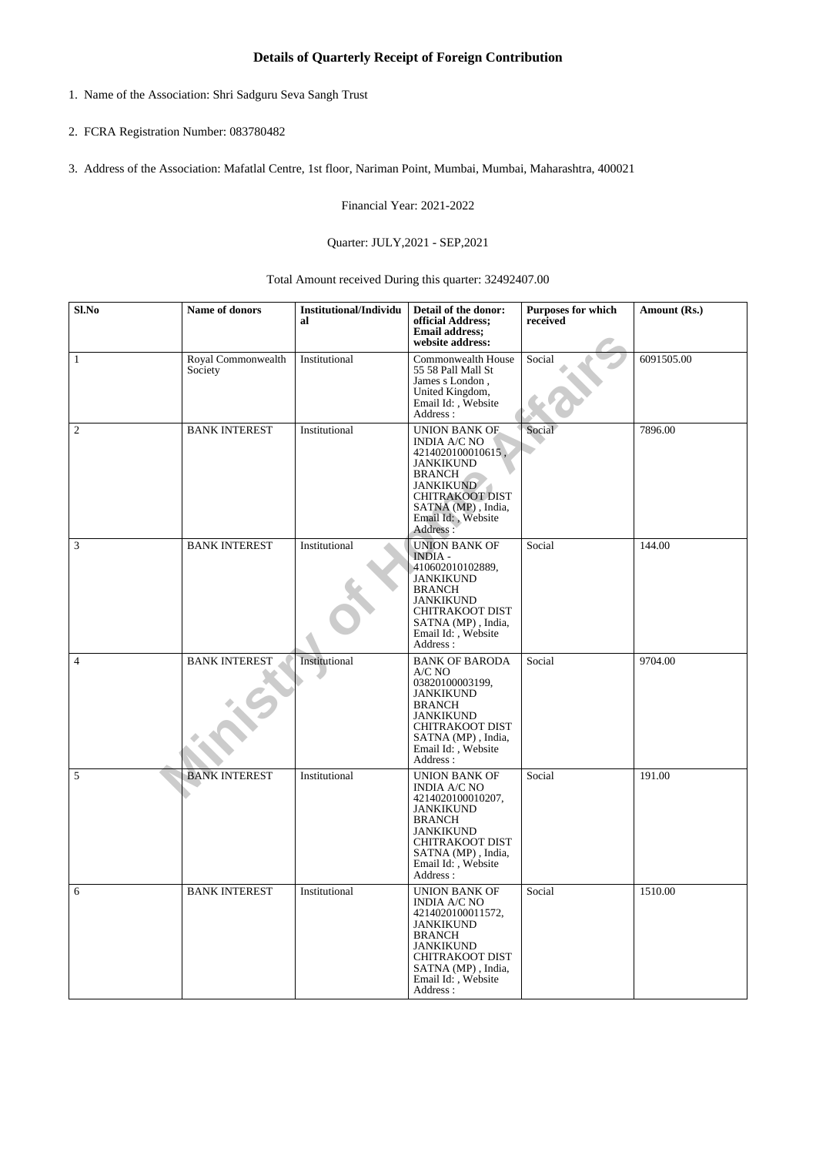## **Details of Quarterly Receipt of Foreign Contribution**

- 1. Name of the Association: Shri Sadguru Seva Sangh Trust
- 2. FCRA Registration Number: 083780482
- 3. Address of the Association: Mafatlal Centre, 1st floor, Nariman Point, Mumbai, Mumbai, Maharashtra, 400021

Financial Year: 2021-2022

## Quarter: JULY,2021 - SEP,2021

Total Amount received During this quarter: 32492407.00

| Sl.No          | Name of donors                | <b>Institutional/Individu</b><br>al | Detail of the donor:<br>official Address;<br><b>Email address;</b><br>website address:                                                                                                                      | <b>Purposes for which</b><br>received | Amount (Rs.) |
|----------------|-------------------------------|-------------------------------------|-------------------------------------------------------------------------------------------------------------------------------------------------------------------------------------------------------------|---------------------------------------|--------------|
| $\mathbf{1}$   | Royal Commonwealth<br>Society | Institutional                       | Commonwealth House<br>55 58 Pall Mall St<br>James s London,<br>United Kingdom,<br>Email Id: , Website<br>Address:                                                                                           | Social                                | 6091505.00   |
| $\overline{2}$ | <b>BANK INTEREST</b>          | Institutional                       | <b>UNION BANK OF</b><br><b>INDIA A/C NO</b><br>4214020100010615,<br><b>JANKIKUND</b><br><b>BRANCH</b><br><b>JANKIKUND</b><br><b>CHITRAKOOT DIST</b><br>SATNA (MP), India,<br>Email Id:, Website<br>Address: | Social                                | 7896.00      |
| $\mathfrak{Z}$ | <b>BANK INTEREST</b>          | Institutional                       | <b>UNION BANK OF</b><br><b>INDIA-</b><br>410602010102889,<br><b>JANKIKUND</b><br><b>BRANCH</b><br><b>JANKIKUND</b><br><b>CHITRAKOOT DIST</b><br>SATNA (MP), India,<br>Email Id:, Website<br>Address:        | Social                                | 144.00       |
| $\overline{4}$ | <b>BANK INTEREST</b>          | Institutional                       | <b>BANK OF BARODA</b><br>$A/C$ NO<br>03820100003199,<br><b>JANKIKUND</b><br><b>BRANCH</b><br><b>JANKIKUND</b><br><b>CHITRAKOOT DIST</b><br>SATNA (MP), India,<br>Email Id:, Website<br>Address:             | Social                                | 9704.00      |
| 5              | <b>BANK INTEREST</b>          | Institutional                       | <b>UNION BANK OF</b><br><b>INDIA A/C NO</b><br>4214020100010207,<br><b>JANKIKUND</b><br><b>BRANCH</b><br><b>JANKIKUND</b><br><b>CHITRAKOOT DIST</b><br>SATNA (MP), India,<br>Email Id:, Website<br>Address: | Social                                | 191.00       |
| 6              | <b>BANK INTEREST</b>          | Institutional                       | <b>UNION BANK OF</b><br><b>INDIA A/C NO</b><br>4214020100011572,<br><b>JANKIKUND</b><br><b>BRANCH</b><br><b>JANKIKUND</b><br><b>CHITRAKOOT DIST</b><br>SATNA (MP), India,<br>Email Id:, Website<br>Address: | Social                                | 1510.00      |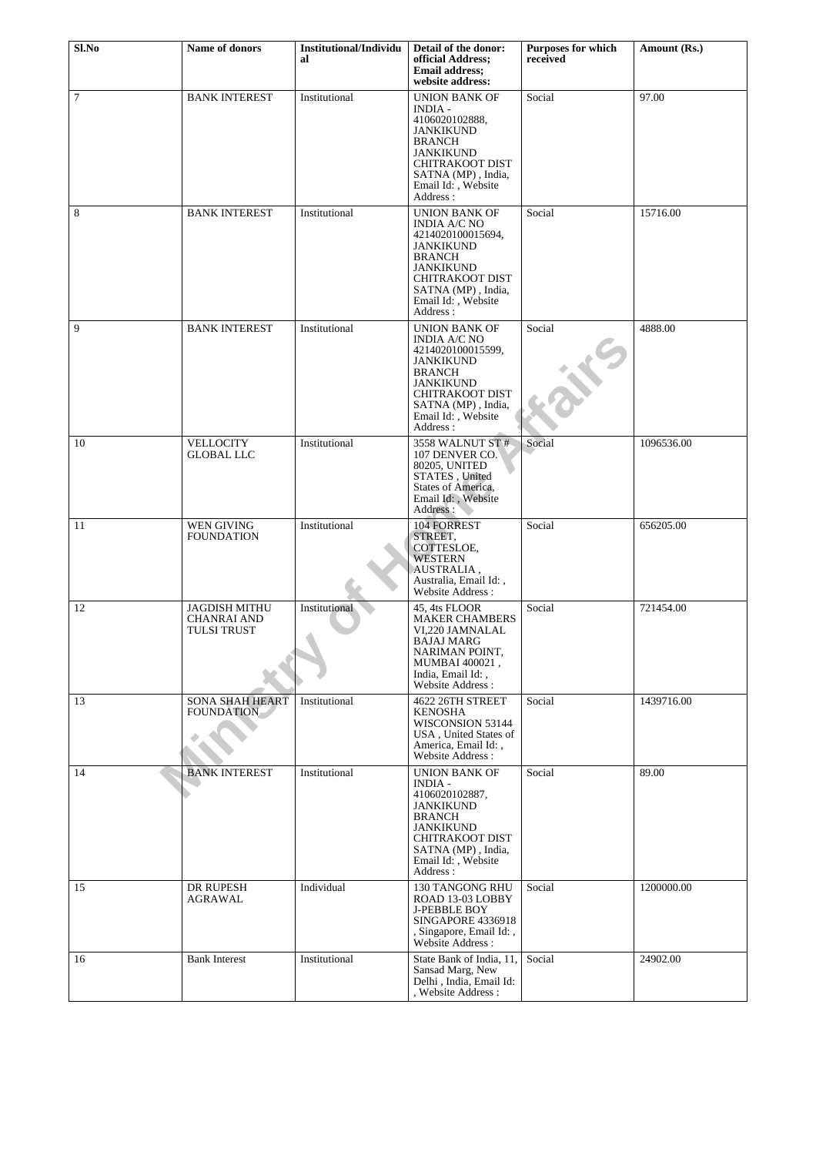| Sl.No  | Name of donors                                            | <b>Institutional/Individu</b> | Detail of the donor:                                                                                                                                                                                        | <b>Purposes for which</b> | Amount (Rs.) |
|--------|-----------------------------------------------------------|-------------------------------|-------------------------------------------------------------------------------------------------------------------------------------------------------------------------------------------------------------|---------------------------|--------------|
|        |                                                           | al                            | official Address;<br><b>Email address:</b><br>website address:                                                                                                                                              | received                  |              |
| $\tau$ | <b>BANK INTEREST</b>                                      | Institutional                 | <b>UNION BANK OF</b><br><b>INDIA -</b><br>4106020102888,<br><b>JANKIKUND</b><br><b>BRANCH</b><br><b>JANKIKUND</b><br><b>CHITRAKOOT DIST</b><br>SATNA (MP), India,<br>Email Id:, Website<br>Address:         | Social                    | 97.00        |
| 8      | <b>BANK INTEREST</b>                                      | Institutional                 | UNION BANK OF<br><b>INDIA A/C NO</b><br>4214020100015694,<br><b>JANKIKUND</b><br><b>BRANCH</b><br><b>JANKIKUND</b><br><b>CHITRAKOOT DIST</b><br>SATNA (MP), India,<br>Email Id:, Website<br>Address:        | Social                    | 15716.00     |
| 9      | <b>BANK INTEREST</b>                                      | Institutional                 | <b>UNION BANK OF</b><br><b>INDIA A/C NO</b><br>4214020100015599,<br><b>JANKIKUND</b><br><b>BRANCH</b><br><b>JANKIKUND</b><br><b>CHITRAKOOT DIST</b><br>SATNA (MP), India,<br>Email Id:, Website<br>Address: | Social                    | 4888.00      |
| 10     | <b>VELLOCITY</b><br><b>GLOBAL LLC</b>                     | Institutional                 | 3558 WALNUT ST #<br>107 DENVER CO.<br>80205, UNITED<br>STATES, United<br>States of America,<br>Email Id:, Website<br>Address:                                                                               | Social                    | 1096536.00   |
| 11     | WEN GIVING<br><b>FOUNDATION</b>                           | Institutional                 | 104 FORREST<br>STREET,<br>COTTESLOE,<br><b>WESTERN</b><br>AUSTRALIA,<br>Australia, Email Id:,<br>Website Address:                                                                                           | Social                    | 656205.00    |
| 12     | <b>JAGDISH MITHU</b><br><b>CHANRAI AND</b><br>TULSI TRUST | Institutional                 | 45, 4ts FLOOR<br><b>MAKER CHAMBERS</b><br>VI,220 JAMNALAL<br><b>BAJAJ MARG</b><br>NARIMAN POINT,<br>MUMBAI 400021,<br>India. Email Id: .<br>Website Address:                                                | Social                    | 721454.00    |
| 13     | <b>SONA SHAH HEART</b><br><b>FOUNDATION</b>               | Institutional                 | 4622 26TH STREET<br><b>KENOSHA</b><br>WISCONSION 53144<br>USA, United States of<br>America, Email Id:,<br>Website Address:                                                                                  | Social                    | 1439716.00   |
| 14     | <b>BANK INTEREST</b>                                      | Institutional                 | <b>UNION BANK OF</b><br><b>INDIA -</b><br>4106020102887,<br><b>JANKIKUND</b><br><b>BRANCH</b><br><b>JANKIKUND</b><br><b>CHITRAKOOT DIST</b><br>SATNA (MP), India,<br>Email Id:, Website<br>Address:         | Social                    | 89.00        |
| 15     | DR RUPESH<br><b>AGRAWAL</b>                               | Individual                    | 130 TANGONG RHU<br>ROAD 13-03 LOBBY<br><b>J-PEBBLE BOY</b><br>SINGAPORE 4336918<br>, Singapore, Email Id:,<br>Website Address :                                                                             | Social                    | 1200000.00   |
| 16     | <b>Bank Interest</b>                                      | Institutional                 | State Bank of India, 11,<br>Sansad Marg, New<br>Delhi, India, Email Id:<br>, Website Address :                                                                                                              | Social                    | 24902.00     |